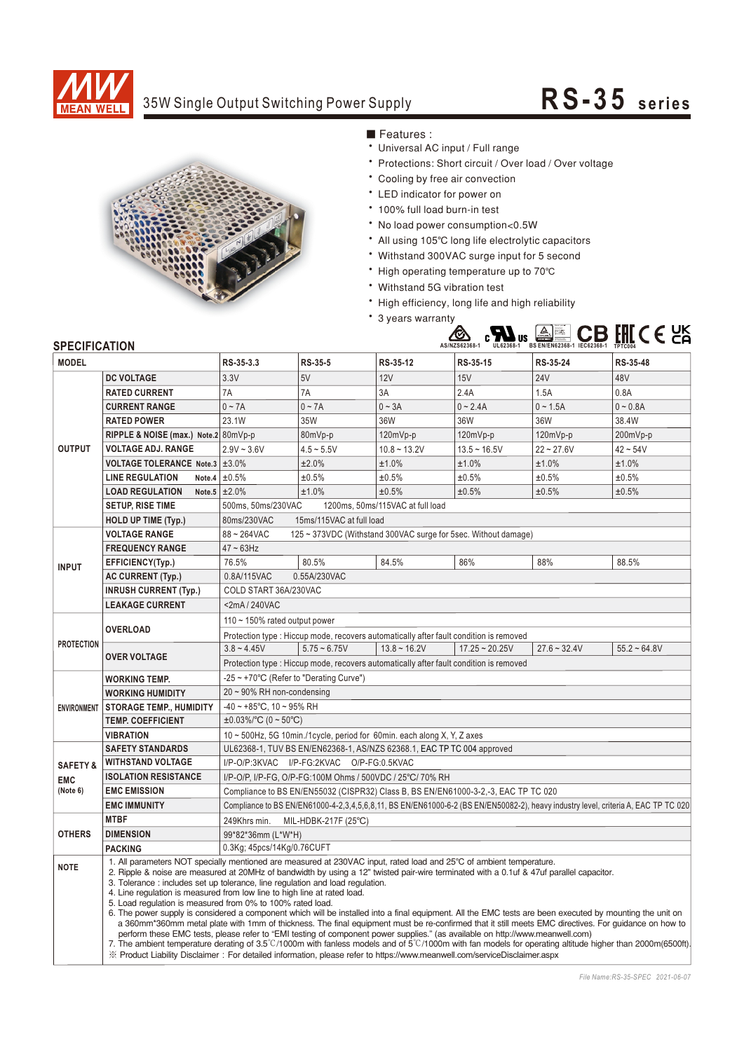

## 35W Single Output Switching Power Supply **RS-35** series



Features:

- Universal AC input / Full range
- \* Protections: Short circuit / Over load / Over voltage
- \* Cooling by free air convection
- LED indicator for power on
- \* 100% full load burn-in test
- No load power consumption<0.5W
- All using 105°C long life electrolytic capacitors
- Withstand 300VAC surge input for 5 second
- High operating temperature up to 70°C
- Withstand 5G vibration test
- High efficiency, long life and high reliability
- \* 3 years warranty



## **SPECIFICATION**

| <b>MODEL</b>                                 |                                                                                                                                                                                                                                                                                                                                                                                                                                                                                                                                                                                                                                                                                                                                                                                                                                                                                                                                                                                                                                                                                                                     | RS-35-3.3                                                                                                                                         | RS-35-5        | RS-35-12          | RS-35-15         | RS-35-24       | RS-35-48       |
|----------------------------------------------|---------------------------------------------------------------------------------------------------------------------------------------------------------------------------------------------------------------------------------------------------------------------------------------------------------------------------------------------------------------------------------------------------------------------------------------------------------------------------------------------------------------------------------------------------------------------------------------------------------------------------------------------------------------------------------------------------------------------------------------------------------------------------------------------------------------------------------------------------------------------------------------------------------------------------------------------------------------------------------------------------------------------------------------------------------------------------------------------------------------------|---------------------------------------------------------------------------------------------------------------------------------------------------|----------------|-------------------|------------------|----------------|----------------|
| <b>OUTPUT</b>                                | <b>DC VOLTAGE</b>                                                                                                                                                                                                                                                                                                                                                                                                                                                                                                                                                                                                                                                                                                                                                                                                                                                                                                                                                                                                                                                                                                   | 3.3V                                                                                                                                              | 5V             | 12V               | 15V              | <b>24V</b>     | 48V            |
|                                              | <b>RATED CURRENT</b>                                                                                                                                                                                                                                                                                                                                                                                                                                                                                                                                                                                                                                                                                                                                                                                                                                                                                                                                                                                                                                                                                                | 7A                                                                                                                                                | 7A             | 3A                | 2.4A             | 1.5A           | 0.8A           |
|                                              | <b>CURRENT RANGE</b>                                                                                                                                                                                                                                                                                                                                                                                                                                                                                                                                                                                                                                                                                                                                                                                                                                                                                                                                                                                                                                                                                                | $0 \sim 7A$                                                                                                                                       | $0 - 7A$       | $0 \sim 3A$       | $0 - 2.4A$       | $0 - 1.5A$     | $0 - 0.8A$     |
|                                              | <b>RATED POWER</b>                                                                                                                                                                                                                                                                                                                                                                                                                                                                                                                                                                                                                                                                                                                                                                                                                                                                                                                                                                                                                                                                                                  | 23.1W                                                                                                                                             | 35W            | 36W               | 36W              | 36W            | 38.4W          |
|                                              | RIPPLE & NOISE (max.) Note.2 80mVp-p                                                                                                                                                                                                                                                                                                                                                                                                                                                                                                                                                                                                                                                                                                                                                                                                                                                                                                                                                                                                                                                                                |                                                                                                                                                   | 80mVp-p        | 120mVp-p          | 120mVp-p         | 120mVp-p       | 200mVp-p       |
|                                              | <b>VOLTAGE ADJ. RANGE</b>                                                                                                                                                                                                                                                                                                                                                                                                                                                                                                                                                                                                                                                                                                                                                                                                                                                                                                                                                                                                                                                                                           | $2.9V - 3.6V$                                                                                                                                     | $4.5 - 5.5V$   | $10.8 - 13.2V$    | $13.5 - 16.5V$   | $22 - 27.6V$   | $42 - 54V$     |
|                                              | VOLTAGE TOLERANCE Note.3 ±3.0%                                                                                                                                                                                                                                                                                                                                                                                                                                                                                                                                                                                                                                                                                                                                                                                                                                                                                                                                                                                                                                                                                      |                                                                                                                                                   | ±2.0%          | ±1.0%             | ±1.0%            | ±1.0%          | ±1.0%          |
|                                              | <b>LINE REGULATION</b>                                                                                                                                                                                                                                                                                                                                                                                                                                                                                                                                                                                                                                                                                                                                                                                                                                                                                                                                                                                                                                                                                              | Note.4 $\pm 0.5\%$                                                                                                                                | ±0.5%          | ±0.5%             | ±0.5%            | ±0.5%          | ±0.5%          |
|                                              | <b>LOAD REGULATION</b>                                                                                                                                                                                                                                                                                                                                                                                                                                                                                                                                                                                                                                                                                                                                                                                                                                                                                                                                                                                                                                                                                              | Note.5 $\pm 2.0\%$                                                                                                                                | ±1.0%          | ±0.5%             | ±0.5%            | ±0.5%          | ±0.5%          |
|                                              | <b>SETUP, RISE TIME</b>                                                                                                                                                                                                                                                                                                                                                                                                                                                                                                                                                                                                                                                                                                                                                                                                                                                                                                                                                                                                                                                                                             | 500ms, 50ms/230VAC<br>1200ms, 50ms/115VAC at full load                                                                                            |                |                   |                  |                |                |
|                                              | <b>HOLD UP TIME (Typ.)</b>                                                                                                                                                                                                                                                                                                                                                                                                                                                                                                                                                                                                                                                                                                                                                                                                                                                                                                                                                                                                                                                                                          | 80ms/230VAC<br>15ms/115VAC at full load                                                                                                           |                |                   |                  |                |                |
| <b>INPUT</b>                                 | <b>VOLTAGE RANGE</b>                                                                                                                                                                                                                                                                                                                                                                                                                                                                                                                                                                                                                                                                                                                                                                                                                                                                                                                                                                                                                                                                                                | 88~264VAC<br>125 ~ 373VDC (Withstand 300VAC surge for 5sec. Without damage)                                                                       |                |                   |                  |                |                |
|                                              | <b>FREQUENCY RANGE</b>                                                                                                                                                                                                                                                                                                                                                                                                                                                                                                                                                                                                                                                                                                                                                                                                                                                                                                                                                                                                                                                                                              | $47 \sim 63$ Hz                                                                                                                                   |                |                   |                  |                |                |
|                                              | EFFICIENCY(Typ.)                                                                                                                                                                                                                                                                                                                                                                                                                                                                                                                                                                                                                                                                                                                                                                                                                                                                                                                                                                                                                                                                                                    | 76.5%                                                                                                                                             | 80.5%          | 84.5%             | 86%              | 88%            | 88.5%          |
|                                              | <b>AC CURRENT (Typ.)</b>                                                                                                                                                                                                                                                                                                                                                                                                                                                                                                                                                                                                                                                                                                                                                                                                                                                                                                                                                                                                                                                                                            | 0.8A/115VAC<br>0.55A/230VAC                                                                                                                       |                |                   |                  |                |                |
|                                              | <b>INRUSH CURRENT (Typ.)</b>                                                                                                                                                                                                                                                                                                                                                                                                                                                                                                                                                                                                                                                                                                                                                                                                                                                                                                                                                                                                                                                                                        | COLD START 36A/230VAC                                                                                                                             |                |                   |                  |                |                |
|                                              | <b>LEAKAGE CURRENT</b>                                                                                                                                                                                                                                                                                                                                                                                                                                                                                                                                                                                                                                                                                                                                                                                                                                                                                                                                                                                                                                                                                              | <2mA/240VAC                                                                                                                                       |                |                   |                  |                |                |
| <b>PROTECTION</b>                            | <b>OVERLOAD</b>                                                                                                                                                                                                                                                                                                                                                                                                                                                                                                                                                                                                                                                                                                                                                                                                                                                                                                                                                                                                                                                                                                     | 110 ~ 150% rated output power                                                                                                                     |                |                   |                  |                |                |
|                                              |                                                                                                                                                                                                                                                                                                                                                                                                                                                                                                                                                                                                                                                                                                                                                                                                                                                                                                                                                                                                                                                                                                                     | Protection type : Hiccup mode, recovers automatically after fault condition is removed                                                            |                |                   |                  |                |                |
|                                              | <b>OVER VOLTAGE</b>                                                                                                                                                                                                                                                                                                                                                                                                                                                                                                                                                                                                                                                                                                                                                                                                                                                                                                                                                                                                                                                                                                 | $3.8 - 4.45V$                                                                                                                                     | $5.75 - 6.75V$ | $13.8 \sim 16.2V$ | $17.25 - 20.25V$ | $27.6 - 32.4V$ | $55.2 - 64.8V$ |
|                                              |                                                                                                                                                                                                                                                                                                                                                                                                                                                                                                                                                                                                                                                                                                                                                                                                                                                                                                                                                                                                                                                                                                                     | Protection type : Hiccup mode, recovers automatically after fault condition is removed                                                            |                |                   |                  |                |                |
| <b>ENVIRONMENT</b>                           | <b>WORKING TEMP.</b>                                                                                                                                                                                                                                                                                                                                                                                                                                                                                                                                                                                                                                                                                                                                                                                                                                                                                                                                                                                                                                                                                                | -25 ~ +70°C (Refer to "Derating Curve")                                                                                                           |                |                   |                  |                |                |
|                                              | <b>WORKING HUMIDITY</b>                                                                                                                                                                                                                                                                                                                                                                                                                                                                                                                                                                                                                                                                                                                                                                                                                                                                                                                                                                                                                                                                                             | $20 \sim 90\%$ RH non-condensing                                                                                                                  |                |                   |                  |                |                |
|                                              | <b>STORAGE TEMP., HUMIDITY</b>                                                                                                                                                                                                                                                                                                                                                                                                                                                                                                                                                                                                                                                                                                                                                                                                                                                                                                                                                                                                                                                                                      | $-40 \sim +85^{\circ}$ C, 10 ~ 95% RH                                                                                                             |                |                   |                  |                |                |
|                                              | <b>TEMP. COEFFICIENT</b>                                                                                                                                                                                                                                                                                                                                                                                                                                                                                                                                                                                                                                                                                                                                                                                                                                                                                                                                                                                                                                                                                            | $\pm 0.03\%$ /°C (0 ~ 50°C)                                                                                                                       |                |                   |                  |                |                |
|                                              | <b>VIBRATION</b>                                                                                                                                                                                                                                                                                                                                                                                                                                                                                                                                                                                                                                                                                                                                                                                                                                                                                                                                                                                                                                                                                                    | 10 ~ 500Hz, 5G 10min./1cycle, period for 60min. each along X, Y, Z axes                                                                           |                |                   |                  |                |                |
| <b>SAFETY&amp;</b><br><b>EMC</b><br>(Note 6) | <b>SAFETY STANDARDS</b>                                                                                                                                                                                                                                                                                                                                                                                                                                                                                                                                                                                                                                                                                                                                                                                                                                                                                                                                                                                                                                                                                             | UL62368-1, TUV BS EN/EN62368-1, AS/NZS 62368.1, EAC TP TC 004 approved                                                                            |                |                   |                  |                |                |
|                                              | <b>WITHSTAND VOLTAGE</b>                                                                                                                                                                                                                                                                                                                                                                                                                                                                                                                                                                                                                                                                                                                                                                                                                                                                                                                                                                                                                                                                                            | I/P-O/P:3KVAC I/P-FG:2KVAC O/P-FG:0.5KVAC                                                                                                         |                |                   |                  |                |                |
|                                              | <b>ISOLATION RESISTANCE</b>                                                                                                                                                                                                                                                                                                                                                                                                                                                                                                                                                                                                                                                                                                                                                                                                                                                                                                                                                                                                                                                                                         | I/P-O/P, I/P-FG, O/P-FG:100M Ohms / 500VDC / 25°C/ 70% RH                                                                                         |                |                   |                  |                |                |
|                                              | <b>EMC EMISSION</b>                                                                                                                                                                                                                                                                                                                                                                                                                                                                                                                                                                                                                                                                                                                                                                                                                                                                                                                                                                                                                                                                                                 | Compliance to BS EN/EN55032 (CISPR32) Class B, BS EN/EN61000-3-2,-3, EAC TP TC 020                                                                |                |                   |                  |                |                |
|                                              | <b>EMC IMMUNITY</b>                                                                                                                                                                                                                                                                                                                                                                                                                                                                                                                                                                                                                                                                                                                                                                                                                                                                                                                                                                                                                                                                                                 | Compliance to BS EN/EN61000-4-2,3,4,5,6,8,11, BS EN/EN61000-6-2 (BS EN/EN50082-2), heavy industry level, criteria A, EAC TP TC 020                |                |                   |                  |                |                |
| <b>OTHERS</b>                                | <b>MTBF</b>                                                                                                                                                                                                                                                                                                                                                                                                                                                                                                                                                                                                                                                                                                                                                                                                                                                                                                                                                                                                                                                                                                         | 249Khrs min.<br>MIL-HDBK-217F (25°C)                                                                                                              |                |                   |                  |                |                |
|                                              | <b>DIMENSION</b>                                                                                                                                                                                                                                                                                                                                                                                                                                                                                                                                                                                                                                                                                                                                                                                                                                                                                                                                                                                                                                                                                                    | 99*82*36mm (L*W*H)                                                                                                                                |                |                   |                  |                |                |
|                                              | <b>PACKING</b>                                                                                                                                                                                                                                                                                                                                                                                                                                                                                                                                                                                                                                                                                                                                                                                                                                                                                                                                                                                                                                                                                                      | 0.3Kg; 45pcs/14Kg/0.76CUFT<br>1. All parameters NOT specially mentioned are measured at 230VAC input, rated load and 25°C of ambient temperature. |                |                   |                  |                |                |
| <b>NOTE</b>                                  | 2. Ripple & noise are measured at 20MHz of bandwidth by using a 12" twisted pair-wire terminated with a 0.1uf & 47uf parallel capacitor.<br>3. Tolerance: includes set up tolerance, line regulation and load regulation.<br>4. Line regulation is measured from low line to high line at rated load.<br>5. Load regulation is measured from 0% to 100% rated load.<br>6. The power supply is considered a component which will be installed into a final equipment. All the EMC tests are been executed by mounting the unit on<br>a 360mm*360mm metal plate with 1mm of thickness. The final equipment must be re-confirmed that it still meets EMC directives. For guidance on how to<br>perform these EMC tests, please refer to "EMI testing of component power supplies." (as available on http://www.meanwell.com)<br>7. The ambient temperature derating of 3.5°C/1000m with fanless models and of 5°C/1000m with fan models for operating altitude higher than 2000m(6500ft).<br>X Product Liability Disclaimer: For detailed information, please refer to https://www.meanwell.com/serviceDisclaimer.aspx |                                                                                                                                                   |                |                   |                  |                |                |